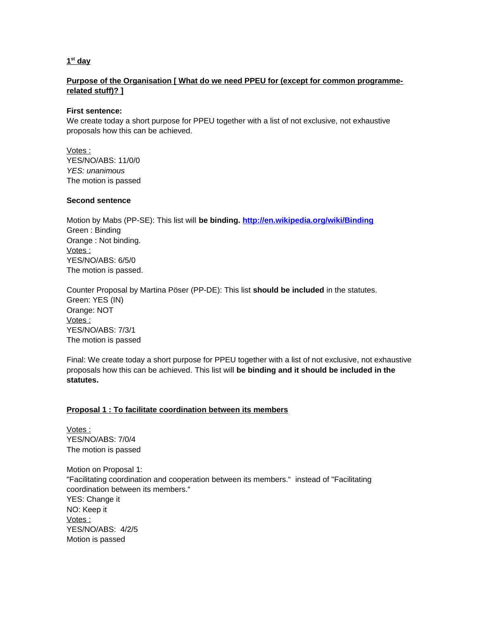### **1 st day**

## **Purpose of the Organisation [ What do we need PPEU for (except for common programmerelated stuff)? ]**

### **First sentence:**

We create today a short purpose for PPEU together with a list of not exclusive, not exhaustive proposals how this can be achieved.

 Votes : YES/NO/ABS: 11/0/0 *YES: unanimous* The motion is passed

### **Second sentence**

Motion by Mabs (PP-SE): This list will **be binding. <http://en.wikipedia.org/wiki/Binding>** Green : Binding Orange : Not binding. Votes : YES/NO/ABS: 6/5/0 The motion is passed.

Counter Proposal by Martina Pöser (PP-DE): This list **should be included** in the statutes. Green: YES (IN) Orange: NOT Votes : YES/NO/ABS: 7/3/1 The motion is passed

Final: We create today a short purpose for PPEU together with a list of not exclusive, not exhaustive proposals how this can be achieved. This list will **be binding and it should be included in the statutes.**

### **Proposal 1 : To facilitate coordination between its members**

 Votes : YES/NO/ABS: 7/0/4 The motion is passed

Motion on Proposal 1: "Facilitating coordination and cooperation between its members." instead of "Facilitating coordination between its members." YES: Change it NO: Keep it Votes : YES/NO/ABS: 4/2/5 Motion is passed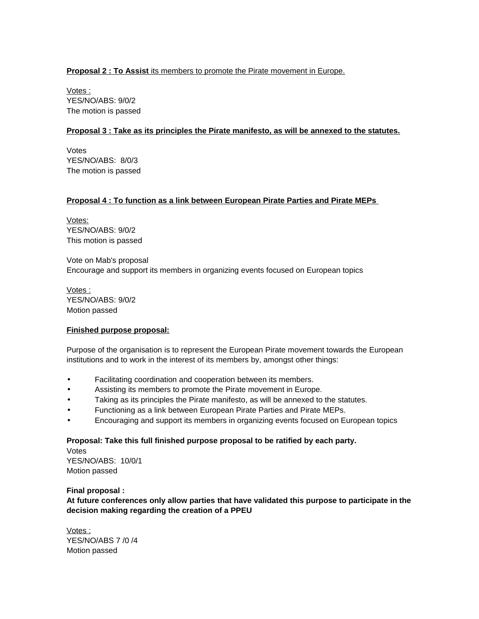# **Proposal 2 : To Assist** its members to promote the Pirate movement in Europe.

 Votes : YES/NO/ABS: 9/0/2 The motion is passed

# **Proposal 3 : Take as its principles the Pirate manifesto, as will be annexed to the statutes.**

Votes YES/NO/ABS: 8/0/3 The motion is passed

## **Proposal 4 : To function as a link between European Pirate Parties and Pirate MEPs**

Votes: YES/NO/ABS: 9/0/2 This motion is passed

Vote on Mab's proposal Encourage and support its members in organizing events focused on European topics

 Votes : YES/NO/ABS: 9/0/2 Motion passed

### **Finished purpose proposal:**

Purpose of the organisation is to represent the European Pirate movement towards the European institutions and to work in the interest of its members by, amongst other things:

- Facilitating coordination and cooperation between its members.
- Assisting its members to promote the Pirate movement in Europe.
- Taking as its principles the Pirate manifesto, as will be annexed to the statutes.
- Functioning as a link between European Pirate Parties and Pirate MEPs.
- Encouraging and support its members in organizing events focused on European topics

# **Proposal: Take this full finished purpose proposal to be ratified by each party.**

Votes YES/NO/ABS: 10/0/1 Motion passed

### **Final proposal :**

**At future conferences only allow parties that have validated this purpose to participate in the decision making regarding the creation of a PPEU**

 Votes : YES/NO/ABS 7 /0 /4 Motion passed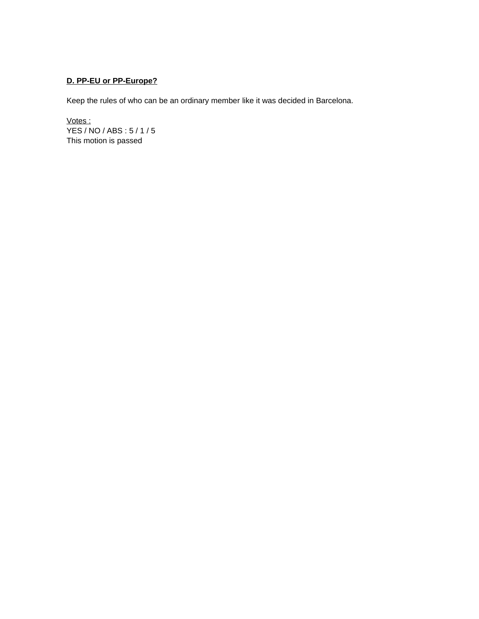# **D. PP-EU or PP-Europe?**

Keep the rules of who can be an ordinary member like it was decided in Barcelona.

Votes : YES / NO / ABS : 5 / 1 / 5 This motion is passed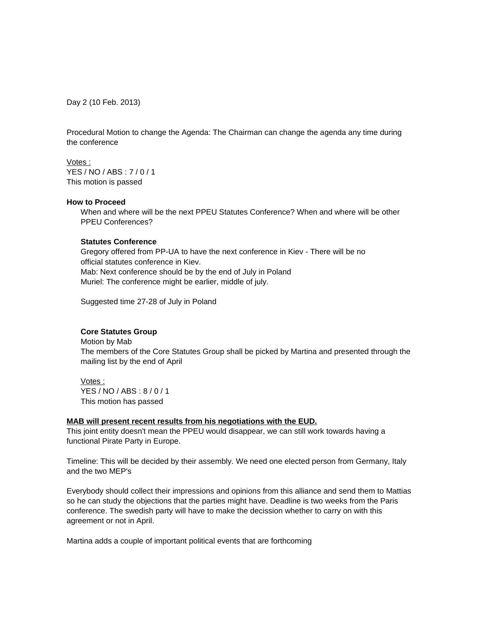Day 2 (10 Feb. 2013)

Procedural Motion to change the Agenda: The Chairman can change the agenda any time during the conference

Votes :

YES / NO / ABS : 7 / 0 / 1 This motion is passed

#### **How to Proceed**

When and where will be the next PPEU Statutes Conference? When and where will be other PPEU Conferences?

### **Statutes Conference**

Gregory offered from PP-UA to have the next conference in Kiev - There will be no official statutes conference in Kiev. Mab: Next conference should be by the end of July in Poland Muriel: The conference might be earlier, middle of july.

Suggested time 27-28 of July in Poland

### **Core Statutes Group**

Motion by Mab The members of the Core Statutes Group shall be picked by Martina and presented through the mailing list by the end of April

Votes : YES / NO / ABS : 8 / 0 / 1 This motion has passed

#### **MAB will present recent results from his negotiations with the EUD.**

This joint entity doesn't mean the PPEU would disappear, we can still work towards having a functional Pirate Party in Europe.

Timeline: This will be decided by their assembly. We need one elected person from Germany, Italy and the two MEP's

Everybody should collect their impressions and opinions from this alliance and send them to Mattias so he can study the objections that the parties might have. Deadline is two weeks from the Paris conference. The swedish party will have to make the decission whether to carry on with this agreement or not in April.

Martina adds a couple of important political events that are forthcoming